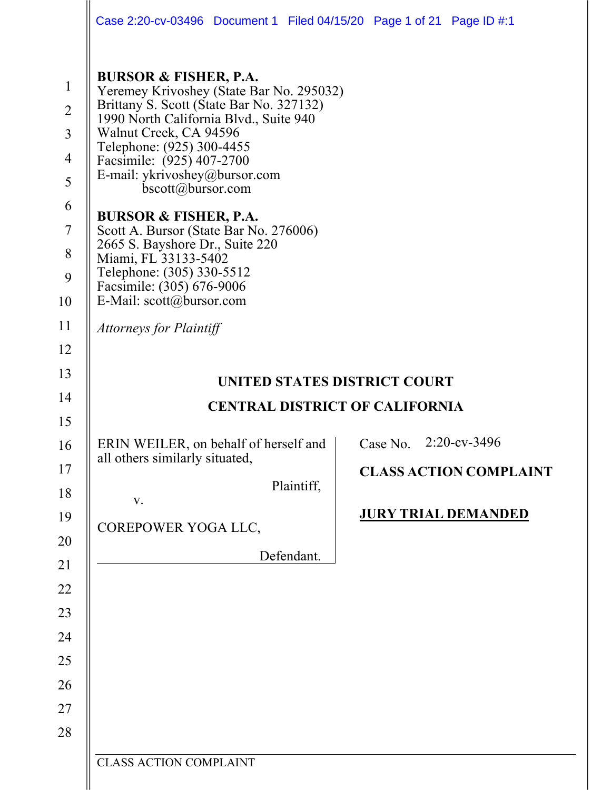|                                                                                | Case 2:20-cv-03496  Document 1  Filed 04/15/20  Page 1 of 21  Page ID #:1                                                                                                                                                                                                                                                                                                                                                                                                                                       |                                       |          |                               |
|--------------------------------------------------------------------------------|-----------------------------------------------------------------------------------------------------------------------------------------------------------------------------------------------------------------------------------------------------------------------------------------------------------------------------------------------------------------------------------------------------------------------------------------------------------------------------------------------------------------|---------------------------------------|----------|-------------------------------|
| $\mathbf{1}$<br>$\overline{2}$<br>3<br>$\overline{4}$<br>5<br>6<br>7<br>8<br>9 | <b>BURSOR &amp; FISHER, P.A.</b><br>Yeremey Krivoshey (State Bar No. 295032)<br>Brittany S. Scott (State Bar No. 327132)<br>1990 North California Blvd., Suite 940<br>Walnut Creek, CA 94596<br>Telephone: (925) 300-4455<br>Facsimile: (925) 407-2700<br>E-mail: ykrivoshey@bursor.com<br>bscott@bursor.com<br><b>BURSOR &amp; FISHER, P.A.</b><br>Scott A. Bursor (State Bar No. 276006)<br>2665 S. Bayshore Dr., Suite 220<br>Miami, FL 33133-5402<br>Telephone: (305) 330-5512<br>Facsimile: (305) 676-9006 |                                       |          |                               |
| 10<br>11                                                                       | E-Mail: scott@bursor.com                                                                                                                                                                                                                                                                                                                                                                                                                                                                                        |                                       |          |                               |
| 12                                                                             | <b>Attorneys for Plaintiff</b>                                                                                                                                                                                                                                                                                                                                                                                                                                                                                  |                                       |          |                               |
| 13                                                                             |                                                                                                                                                                                                                                                                                                                                                                                                                                                                                                                 |                                       |          |                               |
| 14                                                                             |                                                                                                                                                                                                                                                                                                                                                                                                                                                                                                                 | UNITED STATES DISTRICT COURT          |          |                               |
| 15                                                                             |                                                                                                                                                                                                                                                                                                                                                                                                                                                                                                                 | <b>CENTRAL DISTRICT OF CALIFORNIA</b> |          |                               |
| 16                                                                             | ERIN WEILER, on behalf of herself and                                                                                                                                                                                                                                                                                                                                                                                                                                                                           |                                       | Case No. | $2:20$ -cv-3496               |
| 17                                                                             | all others similarly situated,                                                                                                                                                                                                                                                                                                                                                                                                                                                                                  |                                       |          | <b>CLASS ACTION COMPLAINT</b> |
| 18                                                                             | V.                                                                                                                                                                                                                                                                                                                                                                                                                                                                                                              | Plaintiff,                            |          |                               |
|                                                                                |                                                                                                                                                                                                                                                                                                                                                                                                                                                                                                                 |                                       |          |                               |
| 19                                                                             |                                                                                                                                                                                                                                                                                                                                                                                                                                                                                                                 |                                       |          | <b>JURY TRIAL DEMANDED</b>    |
| 20                                                                             | COREPOWER YOGA LLC,                                                                                                                                                                                                                                                                                                                                                                                                                                                                                             |                                       |          |                               |
| 21                                                                             |                                                                                                                                                                                                                                                                                                                                                                                                                                                                                                                 | Defendant.                            |          |                               |
| 22                                                                             |                                                                                                                                                                                                                                                                                                                                                                                                                                                                                                                 |                                       |          |                               |
| 23                                                                             |                                                                                                                                                                                                                                                                                                                                                                                                                                                                                                                 |                                       |          |                               |
| 24                                                                             |                                                                                                                                                                                                                                                                                                                                                                                                                                                                                                                 |                                       |          |                               |
| 25                                                                             |                                                                                                                                                                                                                                                                                                                                                                                                                                                                                                                 |                                       |          |                               |
| 26                                                                             |                                                                                                                                                                                                                                                                                                                                                                                                                                                                                                                 |                                       |          |                               |
| 27                                                                             |                                                                                                                                                                                                                                                                                                                                                                                                                                                                                                                 |                                       |          |                               |
| 28                                                                             |                                                                                                                                                                                                                                                                                                                                                                                                                                                                                                                 |                                       |          |                               |

CLASS ACTION COMPLAINT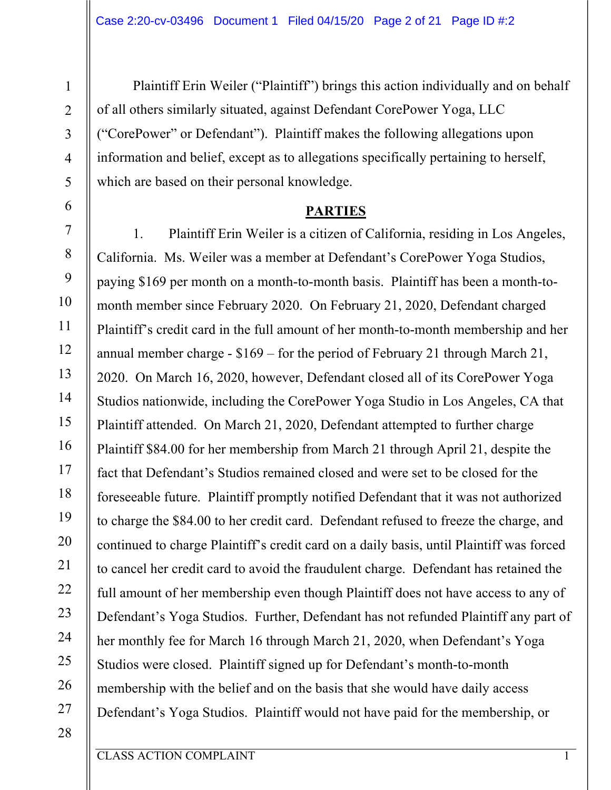Plaintiff Erin Weiler ("Plaintiff") brings this action individually and on behalf of all others similarly situated, against Defendant CorePower Yoga, LLC ("CorePower" or Defendant"). Plaintiff makes the following allegations upon information and belief, except as to allegations specifically pertaining to herself, which are based on their personal knowledge.

#### **PARTIES**

1. Plaintiff Erin Weiler is a citizen of California, residing in Los Angeles, California. Ms. Weiler was a member at Defendant's CorePower Yoga Studios, paying \$169 per month on a month-to-month basis. Plaintiff has been a month-tomonth member since February 2020. On February 21, 2020, Defendant charged Plaintiff's credit card in the full amount of her month-to-month membership and her annual member charge - \$169 – for the period of February 21 through March 21, 2020. On March 16, 2020, however, Defendant closed all of its CorePower Yoga Studios nationwide, including the CorePower Yoga Studio in Los Angeles, CA that Plaintiff attended. On March 21, 2020, Defendant attempted to further charge Plaintiff \$84.00 for her membership from March 21 through April 21, despite the fact that Defendant's Studios remained closed and were set to be closed for the foreseeable future. Plaintiff promptly notified Defendant that it was not authorized to charge the \$84.00 to her credit card. Defendant refused to freeze the charge, and continued to charge Plaintiff's credit card on a daily basis, until Plaintiff was forced to cancel her credit card to avoid the fraudulent charge. Defendant has retained the full amount of her membership even though Plaintiff does not have access to any of Defendant's Yoga Studios. Further, Defendant has not refunded Plaintiff any part of her monthly fee for March 16 through March 21, 2020, when Defendant's Yoga Studios were closed. Plaintiff signed up for Defendant's month-to-month membership with the belief and on the basis that she would have daily access Defendant's Yoga Studios. Plaintiff would not have paid for the membership, or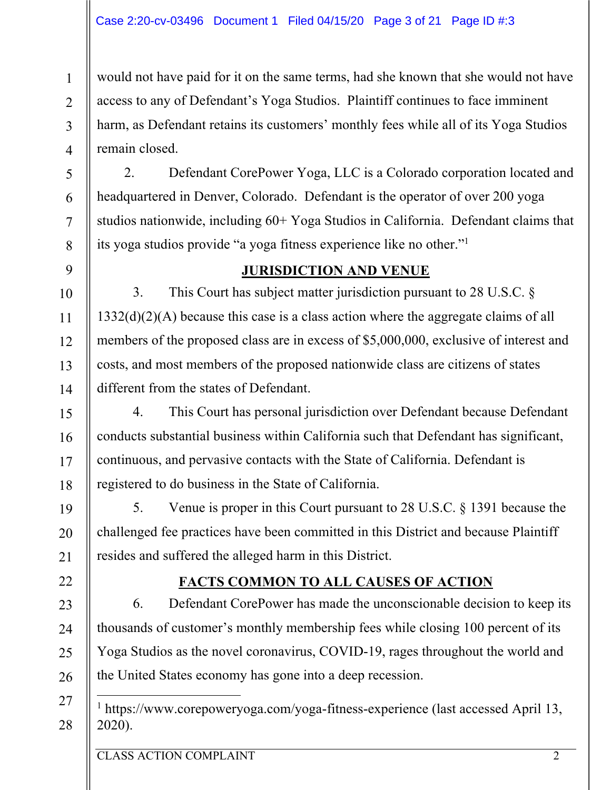would not have paid for it on the same terms, had she known that she would not have access to any of Defendant's Yoga Studios. Plaintiff continues to face imminent harm, as Defendant retains its customers' monthly fees while all of its Yoga Studios remain closed.

2. Defendant CorePower Yoga, LLC is a Colorado corporation located and headquartered in Denver, Colorado. Defendant is the operator of over 200 yoga studios nationwide, including 60+ Yoga Studios in California. Defendant claims that its yoga studios provide "a yoga fitness experience like no other."1

## **JURISDICTION AND VENUE**

3. This Court has subject matter jurisdiction pursuant to 28 U.S.C. § 1332(d)(2)(A) because this case is a class action where the aggregate claims of all members of the proposed class are in excess of \$5,000,000, exclusive of interest and costs, and most members of the proposed nationwide class are citizens of states different from the states of Defendant.

4. This Court has personal jurisdiction over Defendant because Defendant conducts substantial business within California such that Defendant has significant, continuous, and pervasive contacts with the State of California. Defendant is registered to do business in the State of California.

5. Venue is proper in this Court pursuant to 28 U.S.C. § 1391 because the challenged fee practices have been committed in this District and because Plaintiff resides and suffered the alleged harm in this District.

# **FACTS COMMON TO ALL CAUSES OF ACTION**

6. Defendant CorePower has made the unconscionable decision to keep its thousands of customer's monthly membership fees while closing 100 percent of its Yoga Studios as the novel coronavirus, COVID-19, rages throughout the world and the United States economy has gone into a deep recession.

27 28

1

2

3

4

5

6

7

8

9

10

11

12

13

14

15

16

17

18

19

20

21

22

23

24

25

26

<sup>1</sup> https://www.corepoweryoga.com/yoga-fitness-experience (last accessed April 13, 2020).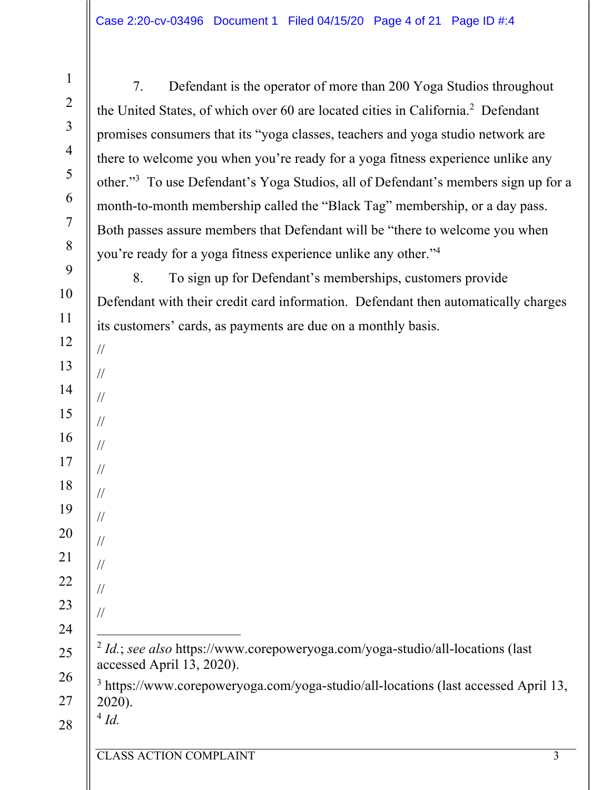7. Defendant is the operator of more than 200 Yoga Studios throughout the United States, of which over 60 are located cities in California.<sup>2</sup> Defendant promises consumers that its "yoga classes, teachers and yoga studio network are there to welcome you when you're ready for a yoga fitness experience unlike any other."3 To use Defendant's Yoga Studios, all of Defendant's members sign up for a month-to-month membership called the "Black Tag" membership, or a day pass. Both passes assure members that Defendant will be "there to welcome you when you're ready for a yoga fitness experience unlike any other."4 8. To sign up for Defendant's memberships, customers provide Defendant with their credit card information. Defendant then automatically charges its customers' cards, as payments are due on a monthly basis. // // // // // //

| $\parallel$ <sup>2</sup> <i>Id.</i> ; see also https://www.corepoweryoga.com/yoga-studio/all-locations (last |
|--------------------------------------------------------------------------------------------------------------|
| $\parallel$ accessed April 13, 2020).                                                                        |

26 27 <sup>3</sup> https://www.corepoweryoga.com/yoga-studio/all-locations (last accessed April 13, 2020).

28

1

2

3

4

5

6

7

8

9

10

11

12

13

14

15

16

17

18

//

//

//

//

//

//

 $4$   $Id.$ 

19

20

21

22

23

24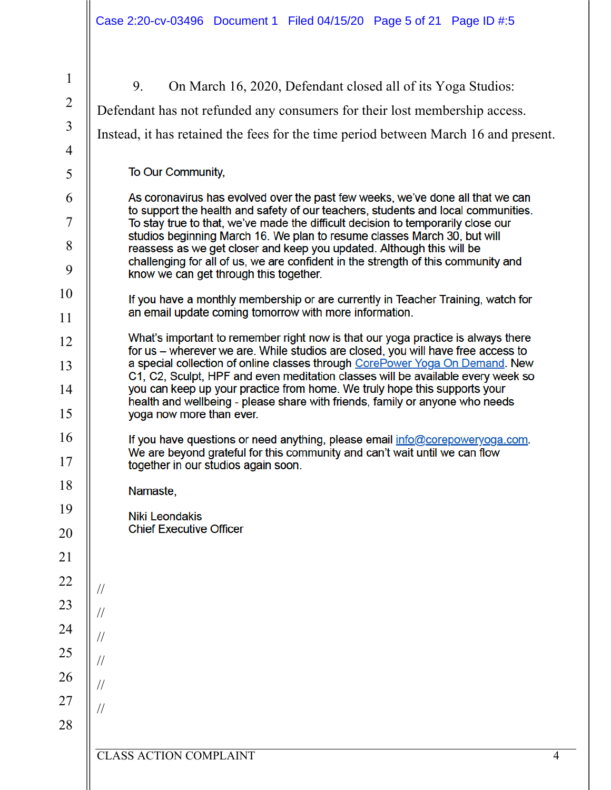| $\mathbf{1}$   | 9.<br>On March 16, 2020, Defendant closed all of its Yoga Studios:                                                                                                   |                |
|----------------|----------------------------------------------------------------------------------------------------------------------------------------------------------------------|----------------|
| $\overline{2}$ | Defendant has not refunded any consumers for their lost membership access.                                                                                           |                |
| $\overline{3}$ | Instead, it has retained the fees for the time period between March 16 and present.                                                                                  |                |
| $\overline{4}$ |                                                                                                                                                                      |                |
| 5              | To Our Community,                                                                                                                                                    |                |
| 6              | As coronavirus has evolved over the past few weeks, we've done all that we can<br>to support the health and safety of our teachers, students and local communities.  |                |
| 7              | To stay true to that, we've made the difficult decision to temporarily close our<br>studios beginning March 16. We plan to resume classes March 30, but will         |                |
| 8              | reassess as we get closer and keep you updated. Although this will be                                                                                                |                |
| 9              | challenging for all of us, we are confident in the strength of this community and<br>know we can get through this together.                                          |                |
| 10             | If you have a monthly membership or are currently in Teacher Training, watch for                                                                                     |                |
| 11             | an email update coming tomorrow with more information.                                                                                                               |                |
| 12             | What's important to remember right now is that our yoga practice is always there<br>for us - wherever we are. While studios are closed, you will have free access to |                |
| 13             | a special collection of online classes through CorePower Yoga On Demand. New<br>C1, C2, Sculpt, HPF and even meditation classes will be available every week so      |                |
| 14             | you can keep up your practice from home. We truly hope this supports your                                                                                            |                |
| 15             | health and wellbeing - please share with friends, family or anyone who needs<br>yoga now more than ever.                                                             |                |
| 16             | If you have questions or need anything, please email info@corepoweryoga.com.                                                                                         |                |
| 17             | We are beyond grateful for this community and can't wait until we can flow<br>together in our studios again soon.                                                    |                |
| 18             | Namaste,                                                                                                                                                             |                |
| 19             | <b>Niki Leondakis</b>                                                                                                                                                |                |
| 20             | <b>Chief Executive Officer</b>                                                                                                                                       |                |
| 21             |                                                                                                                                                                      |                |
| 22             | $\frac{1}{2}$                                                                                                                                                        |                |
| 23             | $\frac{1}{2}$                                                                                                                                                        |                |
| 24             | $\frac{1}{2}$                                                                                                                                                        |                |
| 25             | $\frac{1}{2}$                                                                                                                                                        |                |
| 26             | $\frac{1}{2}$                                                                                                                                                        |                |
| 27             | $\frac{1}{2}$                                                                                                                                                        |                |
| 28             |                                                                                                                                                                      |                |
|                | <b>CLASS ACTION COMPLAINT</b>                                                                                                                                        | $\overline{4}$ |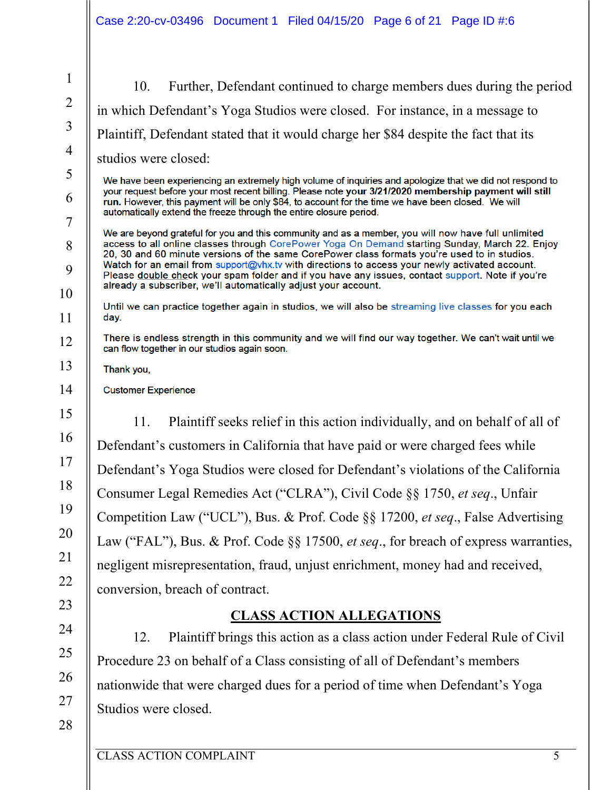10. Further, Defendant continued to charge members dues during the period in which Defendant's Yoga Studios were closed. For instance, in a message to Plaintiff, Defendant stated that it would charge her \$84 despite the fact that its studios were closed:

We have been experiencing an extremely high volume of inquiries and apologize that we did not respond to your request before your most recent billing. Please note your 3/21/2020 membership payment will still run. However, this payment will be only \$84, to account for the time we have been closed. We will automatically extend the freeze through the entire closure period.

We are beyond grateful for you and this community and as a member, you will now have full unlimited access to all online classes through CorePower Yoga On Demand starting Sunday, March 22. Enjoy 20, 30 and 60 minute versions of the same CorePower class formats you're used to in studios. Watch for an email from support@vhx.tv with directions to access your newly activated account. Please double check your spam folder and if you have any issues, contact support. Note if you're already a subscriber, we'll automatically adjust your account.

Until we can practice together again in studios, we will also be streaming live classes for you each day.

There is endless strength in this community and we will find our way together. We can't wait until we can flow together in our studios again soon.

Thank you,

**Customer Experience** 

11. Plaintiff seeks relief in this action individually, and on behalf of all of Defendant's customers in California that have paid or were charged fees while Defendant's Yoga Studios were closed for Defendant's violations of the California Consumer Legal Remedies Act ("CLRA"), Civil Code §§ 1750, *et seq*., Unfair Competition Law ("UCL"), Bus. & Prof. Code §§ 17200, *et seq*., False Advertising Law ("FAL"), Bus. & Prof. Code §§ 17500, *et seq*., for breach of express warranties, negligent misrepresentation, fraud, unjust enrichment, money had and received, conversion, breach of contract.

# **CLASS ACTION ALLEGATIONS**

12. Plaintiff brings this action as a class action under Federal Rule of Civil Procedure 23 on behalf of a Class consisting of all of Defendant's members nationwide that were charged dues for a period of time when Defendant's Yoga Studios were closed.

28

26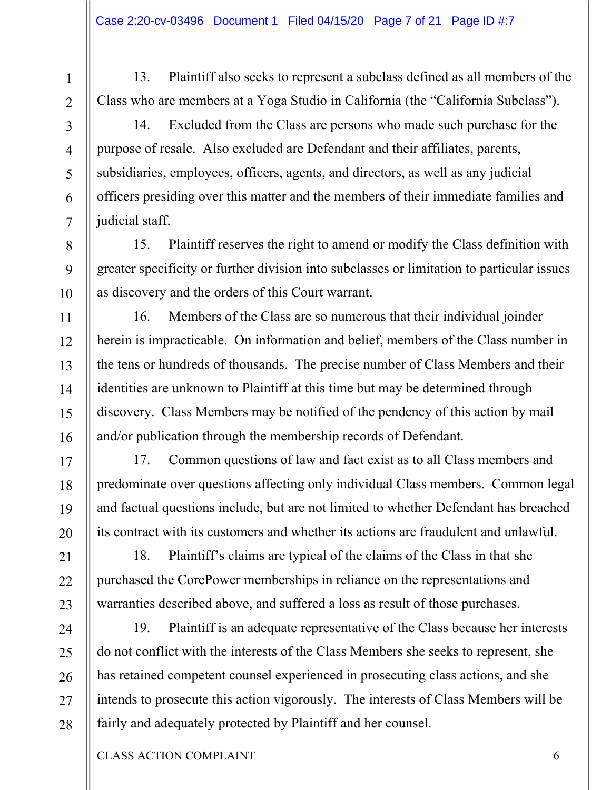13. Plaintiff also seeks to represent a subclass defined as all members of the Class who are members at a Yoga Studio in California (the "California Subclass"). 14. Excluded from the Class are persons who made such purchase for the

purpose of resale. Also excluded are Defendant and their affiliates, parents, subsidiaries, employees, officers, agents, and directors, as well as any judicial officers presiding over this matter and the members of their immediate families and judicial staff.

15. Plaintiff reserves the right to amend or modify the Class definition with greater specificity or further division into subclasses or limitation to particular issues as discovery and the orders of this Court warrant.

16. Members of the Class are so numerous that their individual joinder herein is impracticable. On information and belief, members of the Class number in the tens or hundreds of thousands. The precise number of Class Members and their identities are unknown to Plaintiff at this time but may be determined through discovery. Class Members may be notified of the pendency of this action by mail and/or publication through the membership records of Defendant.

17. Common questions of law and fact exist as to all Class members and predominate over questions affecting only individual Class members. Common legal and factual questions include, but are not limited to whether Defendant has breached its contract with its customers and whether its actions are fraudulent and unlawful.

18. Plaintiff's claims are typical of the claims of the Class in that she purchased the CorePower memberships in reliance on the representations and warranties described above, and suffered a loss as result of those purchases.

19. Plaintiff is an adequate representative of the Class because her interests do not conflict with the interests of the Class Members she seeks to represent, she has retained competent counsel experienced in prosecuting class actions, and she intends to prosecute this action vigorously. The interests of Class Members will be fairly and adequately protected by Plaintiff and her counsel.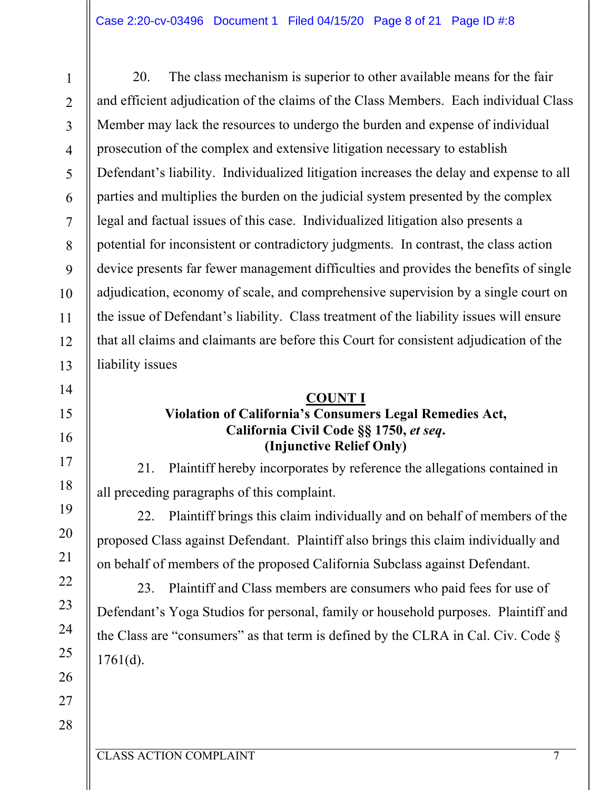20. The class mechanism is superior to other available means for the fair and efficient adjudication of the claims of the Class Members. Each individual Class Member may lack the resources to undergo the burden and expense of individual prosecution of the complex and extensive litigation necessary to establish Defendant's liability. Individualized litigation increases the delay and expense to all parties and multiplies the burden on the judicial system presented by the complex legal and factual issues of this case. Individualized litigation also presents a potential for inconsistent or contradictory judgments. In contrast, the class action device presents far fewer management difficulties and provides the benefits of single adjudication, economy of scale, and comprehensive supervision by a single court on the issue of Defendant's liability. Class treatment of the liability issues will ensure that all claims and claimants are before this Court for consistent adjudication of the liability issues

#### **COUNT I**

### **Violation of California's Consumers Legal Remedies Act, California Civil Code §§ 1750,** *et seq***. (Injunctive Relief Only)**

21. Plaintiff hereby incorporates by reference the allegations contained in all preceding paragraphs of this complaint.

22. Plaintiff brings this claim individually and on behalf of members of the proposed Class against Defendant. Plaintiff also brings this claim individually and on behalf of members of the proposed California Subclass against Defendant.

23. Plaintiff and Class members are consumers who paid fees for use of Defendant's Yoga Studios for personal, family or household purposes. Plaintiff and the Class are "consumers" as that term is defined by the CLRA in Cal. Civ. Code §  $1761(d)$ .

25 26 27

1

2

3

4

5

6

7

8

9

10

11

12

13

14

15

16

17

18

19

20

21

22

23

24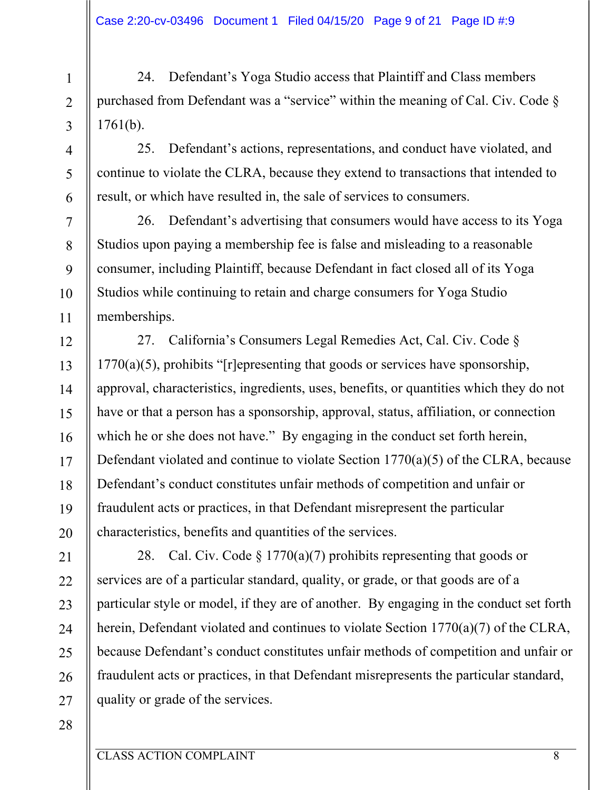24. Defendant's Yoga Studio access that Plaintiff and Class members purchased from Defendant was a "service" within the meaning of Cal. Civ. Code § 1761(b).

25. Defendant's actions, representations, and conduct have violated, and continue to violate the CLRA, because they extend to transactions that intended to result, or which have resulted in, the sale of services to consumers.

26. Defendant's advertising that consumers would have access to its Yoga Studios upon paying a membership fee is false and misleading to a reasonable consumer, including Plaintiff, because Defendant in fact closed all of its Yoga Studios while continuing to retain and charge consumers for Yoga Studio memberships.

27. California's Consumers Legal Remedies Act, Cal. Civ. Code §  $1770(a)(5)$ , prohibits "[r]epresenting that goods or services have sponsorship, approval, characteristics, ingredients, uses, benefits, or quantities which they do not have or that a person has a sponsorship, approval, status, affiliation, or connection which he or she does not have." By engaging in the conduct set forth herein, Defendant violated and continue to violate Section 1770(a)(5) of the CLRA, because Defendant's conduct constitutes unfair methods of competition and unfair or fraudulent acts or practices, in that Defendant misrepresent the particular characteristics, benefits and quantities of the services.

21 22 23 24 25 26 27 28. Cal. Civ. Code  $\S 1770(a)(7)$  prohibits representing that goods or services are of a particular standard, quality, or grade, or that goods are of a particular style or model, if they are of another. By engaging in the conduct set forth herein, Defendant violated and continues to violate Section 1770(a)(7) of the CLRA, because Defendant's conduct constitutes unfair methods of competition and unfair or fraudulent acts or practices, in that Defendant misrepresents the particular standard, quality or grade of the services.

28

1

2

3

4

5

6

7

8

9

10

11

12

13

14

15

16

17

18

19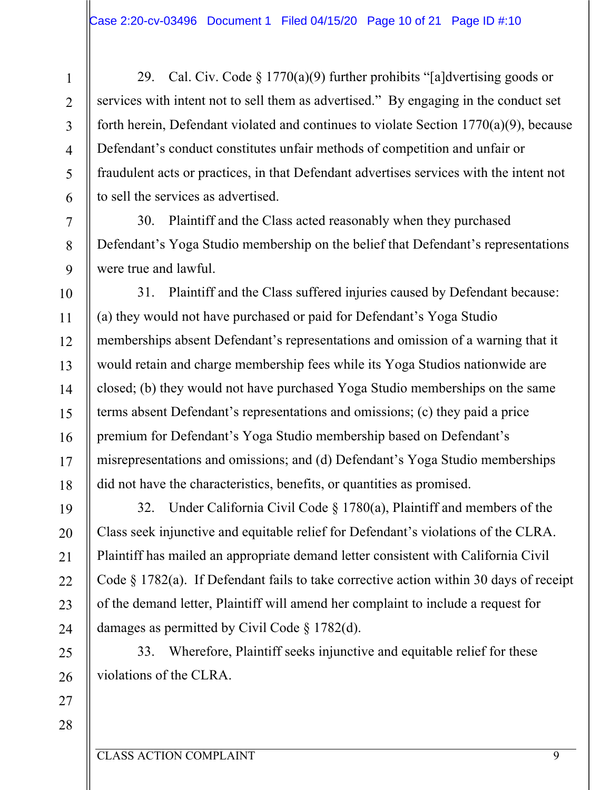29. Cal. Civ. Code  $\S 1770(a)(9)$  further prohibits "[a]dvertising goods or services with intent not to sell them as advertised." By engaging in the conduct set forth herein, Defendant violated and continues to violate Section 1770(a)(9), because Defendant's conduct constitutes unfair methods of competition and unfair or fraudulent acts or practices, in that Defendant advertises services with the intent not to sell the services as advertised.

30. Plaintiff and the Class acted reasonably when they purchased Defendant's Yoga Studio membership on the belief that Defendant's representations were true and lawful.

31. Plaintiff and the Class suffered injuries caused by Defendant because: (a) they would not have purchased or paid for Defendant's Yoga Studio memberships absent Defendant's representations and omission of a warning that it would retain and charge membership fees while its Yoga Studios nationwide are closed; (b) they would not have purchased Yoga Studio memberships on the same terms absent Defendant's representations and omissions; (c) they paid a price premium for Defendant's Yoga Studio membership based on Defendant's misrepresentations and omissions; and (d) Defendant's Yoga Studio memberships did not have the characteristics, benefits, or quantities as promised.

32. Under California Civil Code § 1780(a), Plaintiff and members of the Class seek injunctive and equitable relief for Defendant's violations of the CLRA. Plaintiff has mailed an appropriate demand letter consistent with California Civil Code § 1782(a). If Defendant fails to take corrective action within 30 days of receipt of the demand letter, Plaintiff will amend her complaint to include a request for damages as permitted by Civil Code § 1782(d).

33. Wherefore, Plaintiff seeks injunctive and equitable relief for these violations of the CLRA.

27 28

1

2

3

4

5

6

7

8

9

10

11

12

13

14

15

16

17

18

19

20

21

22

23

24

25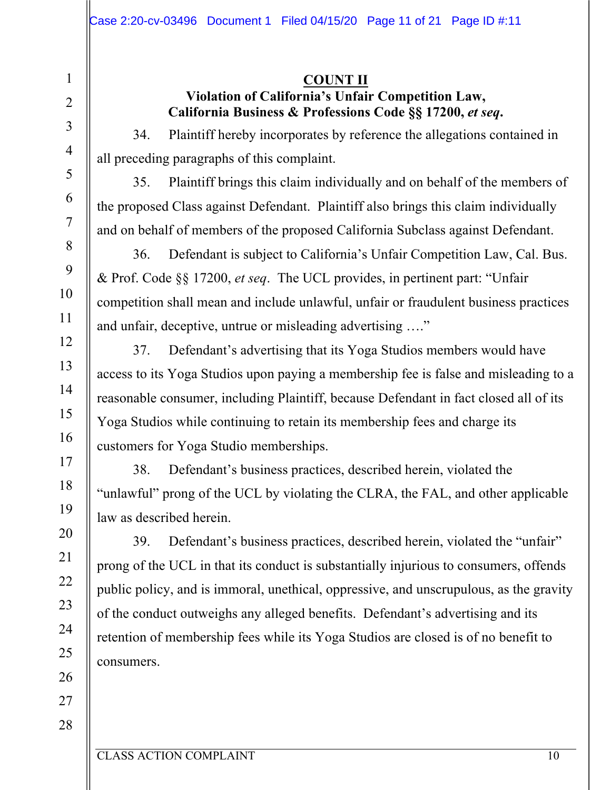#### **COUNT II Violation of California's Unfair Competition Law, California Business & Professions Code §§ 17200,** *et seq***.**

34. Plaintiff hereby incorporates by reference the allegations contained in all preceding paragraphs of this complaint.

35. Plaintiff brings this claim individually and on behalf of the members of the proposed Class against Defendant. Plaintiff also brings this claim individually and on behalf of members of the proposed California Subclass against Defendant.

36. Defendant is subject to California's Unfair Competition Law, Cal. Bus. & Prof. Code §§ 17200, *et seq*. The UCL provides, in pertinent part: "Unfair competition shall mean and include unlawful, unfair or fraudulent business practices and unfair, deceptive, untrue or misleading advertising …."

37. Defendant's advertising that its Yoga Studios members would have access to its Yoga Studios upon paying a membership fee is false and misleading to a reasonable consumer, including Plaintiff, because Defendant in fact closed all of its Yoga Studios while continuing to retain its membership fees and charge its customers for Yoga Studio memberships.

38. Defendant's business practices, described herein, violated the "unlawful" prong of the UCL by violating the CLRA, the FAL, and other applicable law as described herein.

39. Defendant's business practices, described herein, violated the "unfair" prong of the UCL in that its conduct is substantially injurious to consumers, offends public policy, and is immoral, unethical, oppressive, and unscrupulous, as the gravity of the conduct outweighs any alleged benefits. Defendant's advertising and its retention of membership fees while its Yoga Studios are closed is of no benefit to consumers.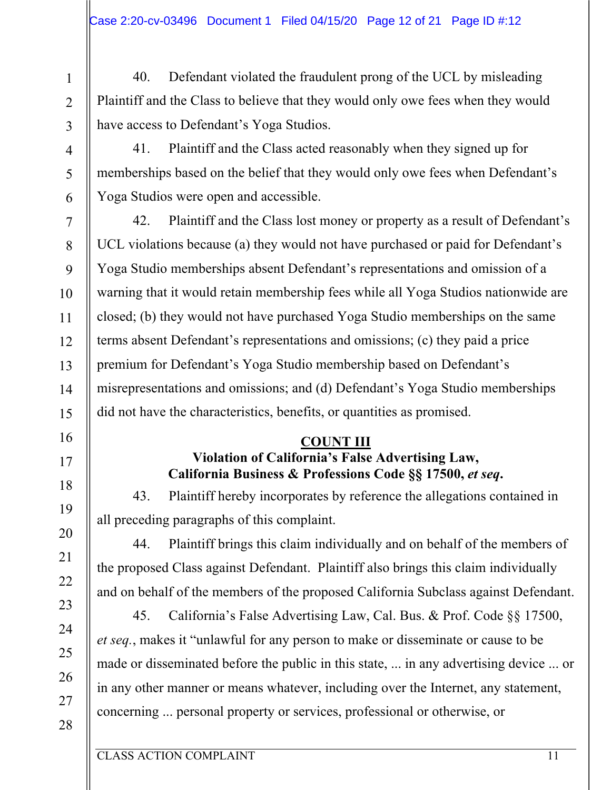40. Defendant violated the fraudulent prong of the UCL by misleading Plaintiff and the Class to believe that they would only owe fees when they would have access to Defendant's Yoga Studios.

41. Plaintiff and the Class acted reasonably when they signed up for memberships based on the belief that they would only owe fees when Defendant's Yoga Studios were open and accessible.

42. Plaintiff and the Class lost money or property as a result of Defendant's UCL violations because (a) they would not have purchased or paid for Defendant's Yoga Studio memberships absent Defendant's representations and omission of a warning that it would retain membership fees while all Yoga Studios nationwide are closed; (b) they would not have purchased Yoga Studio memberships on the same terms absent Defendant's representations and omissions; (c) they paid a price premium for Defendant's Yoga Studio membership based on Defendant's misrepresentations and omissions; and (d) Defendant's Yoga Studio memberships did not have the characteristics, benefits, or quantities as promised.

#### **COUNT III**

# **Violation of California's False Advertising Law, California Business & Professions Code §§ 17500,** *et seq***.**

43. Plaintiff hereby incorporates by reference the allegations contained in all preceding paragraphs of this complaint.

44. Plaintiff brings this claim individually and on behalf of the members of the proposed Class against Defendant. Plaintiff also brings this claim individually and on behalf of the members of the proposed California Subclass against Defendant.

45. California's False Advertising Law, Cal. Bus. & Prof. Code §§ 17500, *et seq.*, makes it "unlawful for any person to make or disseminate or cause to be made or disseminated before the public in this state, ... in any advertising device ... or in any other manner or means whatever, including over the Internet, any statement, concerning ... personal property or services, professional or otherwise, or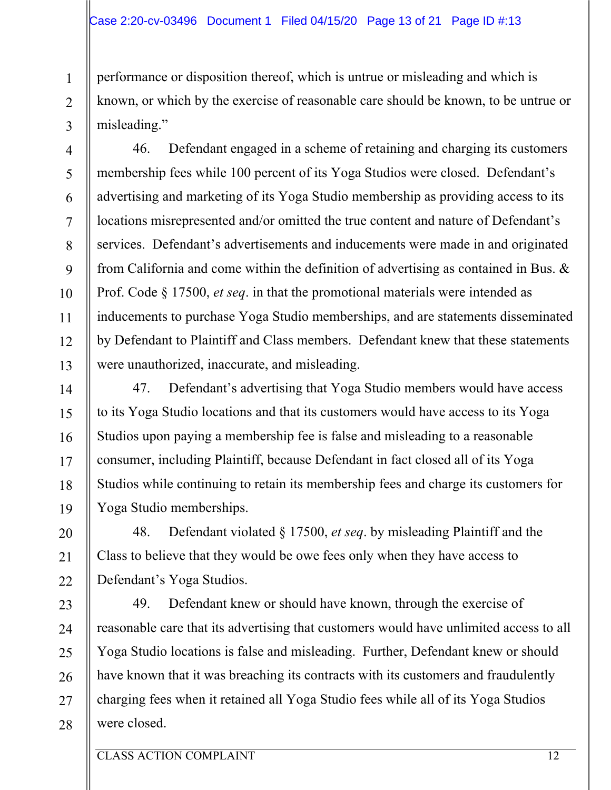performance or disposition thereof, which is untrue or misleading and which is known, or which by the exercise of reasonable care should be known, to be untrue or misleading."

46. Defendant engaged in a scheme of retaining and charging its customers membership fees while 100 percent of its Yoga Studios were closed. Defendant's advertising and marketing of its Yoga Studio membership as providing access to its locations misrepresented and/or omitted the true content and nature of Defendant's services. Defendant's advertisements and inducements were made in and originated from California and come within the definition of advertising as contained in Bus. & Prof. Code § 17500, *et seq*. in that the promotional materials were intended as inducements to purchase Yoga Studio memberships, and are statements disseminated by Defendant to Plaintiff and Class members. Defendant knew that these statements were unauthorized, inaccurate, and misleading.

47. Defendant's advertising that Yoga Studio members would have access to its Yoga Studio locations and that its customers would have access to its Yoga Studios upon paying a membership fee is false and misleading to a reasonable consumer, including Plaintiff, because Defendant in fact closed all of its Yoga Studios while continuing to retain its membership fees and charge its customers for Yoga Studio memberships.

48. Defendant violated § 17500, *et seq*. by misleading Plaintiff and the Class to believe that they would be owe fees only when they have access to Defendant's Yoga Studios.

49. Defendant knew or should have known, through the exercise of reasonable care that its advertising that customers would have unlimited access to all Yoga Studio locations is false and misleading. Further, Defendant knew or should have known that it was breaching its contracts with its customers and fraudulently charging fees when it retained all Yoga Studio fees while all of its Yoga Studios were closed.

1

2

3

4

5

6

7

8

9

10

11

12

13

14

15

16

17

18

19

20

21

22

23

24

25

26

27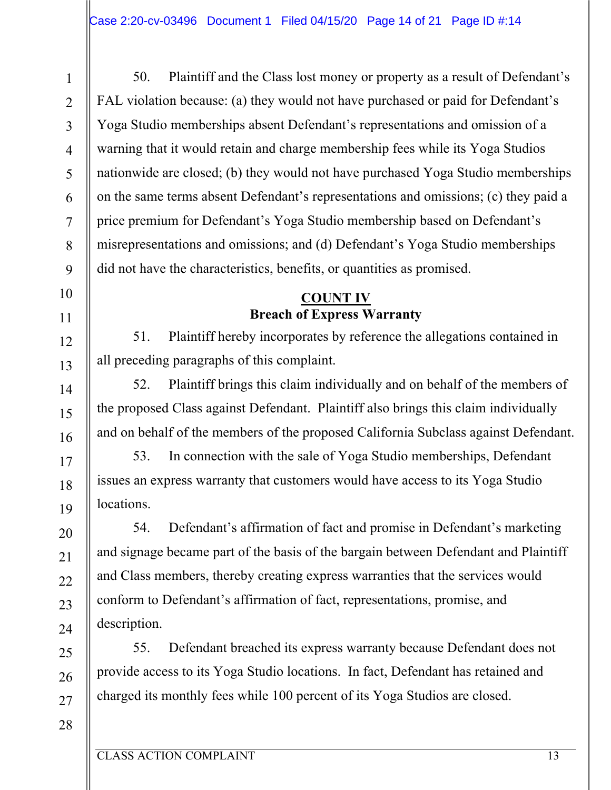50. Plaintiff and the Class lost money or property as a result of Defendant's FAL violation because: (a) they would not have purchased or paid for Defendant's Yoga Studio memberships absent Defendant's representations and omission of a warning that it would retain and charge membership fees while its Yoga Studios nationwide are closed; (b) they would not have purchased Yoga Studio memberships on the same terms absent Defendant's representations and omissions; (c) they paid a price premium for Defendant's Yoga Studio membership based on Defendant's misrepresentations and omissions; and (d) Defendant's Yoga Studio memberships did not have the characteristics, benefits, or quantities as promised.

## **COUNT IV Breach of Express Warranty**

51. Plaintiff hereby incorporates by reference the allegations contained in all preceding paragraphs of this complaint.

52. Plaintiff brings this claim individually and on behalf of the members of the proposed Class against Defendant. Plaintiff also brings this claim individually and on behalf of the members of the proposed California Subclass against Defendant.

53. In connection with the sale of Yoga Studio memberships, Defendant issues an express warranty that customers would have access to its Yoga Studio locations.

54. Defendant's affirmation of fact and promise in Defendant's marketing and signage became part of the basis of the bargain between Defendant and Plaintiff and Class members, thereby creating express warranties that the services would conform to Defendant's affirmation of fact, representations, promise, and description.

55. Defendant breached its express warranty because Defendant does not provide access to its Yoga Studio locations. In fact, Defendant has retained and charged its monthly fees while 100 percent of its Yoga Studios are closed.

1

2

3

4

5

6

7

8

9

10

11

12

13

14

15

16

17

18

19

20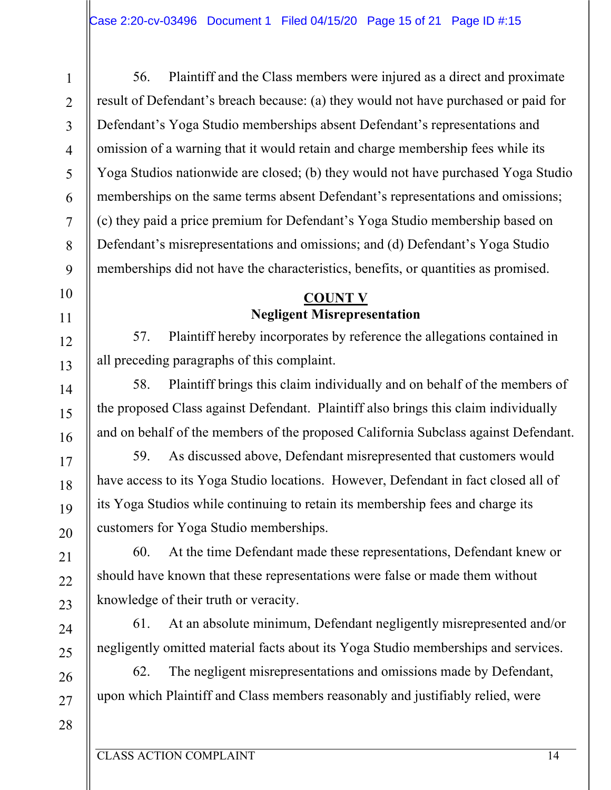56. Plaintiff and the Class members were injured as a direct and proximate result of Defendant's breach because: (a) they would not have purchased or paid for Defendant's Yoga Studio memberships absent Defendant's representations and omission of a warning that it would retain and charge membership fees while its Yoga Studios nationwide are closed; (b) they would not have purchased Yoga Studio memberships on the same terms absent Defendant's representations and omissions; (c) they paid a price premium for Defendant's Yoga Studio membership based on Defendant's misrepresentations and omissions; and (d) Defendant's Yoga Studio memberships did not have the characteristics, benefits, or quantities as promised.

## **COUNT V Negligent Misrepresentation**

57. Plaintiff hereby incorporates by reference the allegations contained in all preceding paragraphs of this complaint.

58. Plaintiff brings this claim individually and on behalf of the members of the proposed Class against Defendant. Plaintiff also brings this claim individually and on behalf of the members of the proposed California Subclass against Defendant.

59. As discussed above, Defendant misrepresented that customers would have access to its Yoga Studio locations. However, Defendant in fact closed all of its Yoga Studios while continuing to retain its membership fees and charge its customers for Yoga Studio memberships.

60. At the time Defendant made these representations, Defendant knew or should have known that these representations were false or made them without knowledge of their truth or veracity.

61. At an absolute minimum, Defendant negligently misrepresented and/or negligently omitted material facts about its Yoga Studio memberships and services.

62. The negligent misrepresentations and omissions made by Defendant, upon which Plaintiff and Class members reasonably and justifiably relied, were

27 28

1

2

3

4

5

6

7

8

9

10

11

12

13

14

15

16

17

18

19

20

21

22

23

24

25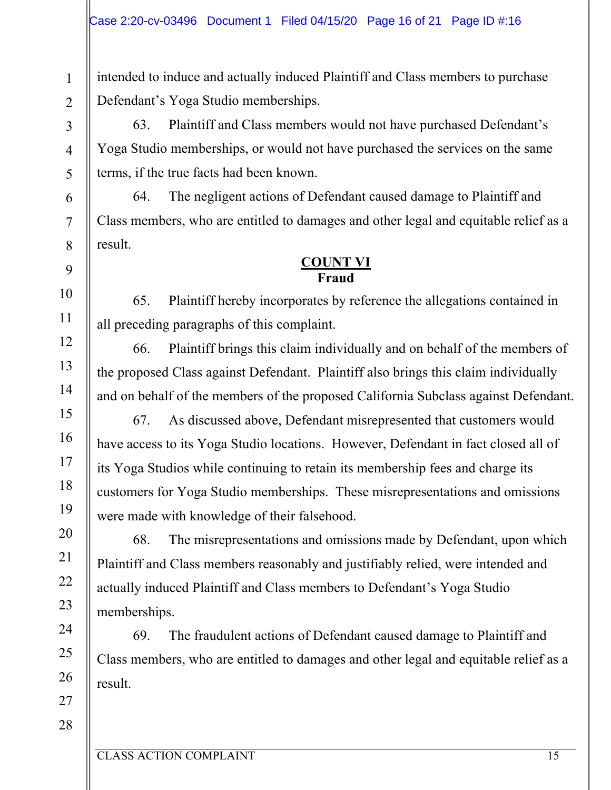intended to induce and actually induced Plaintiff and Class members to purchase Defendant's Yoga Studio memberships.

63. Plaintiff and Class members would not have purchased Defendant's Yoga Studio memberships, or would not have purchased the services on the same terms, if the true facts had been known.

64. The negligent actions of Defendant caused damage to Plaintiff and Class members, who are entitled to damages and other legal and equitable relief as a result.

#### **COUNT VI Fraud**

65. Plaintiff hereby incorporates by reference the allegations contained in all preceding paragraphs of this complaint.

66. Plaintiff brings this claim individually and on behalf of the members of the proposed Class against Defendant. Plaintiff also brings this claim individually and on behalf of the members of the proposed California Subclass against Defendant.

67. As discussed above, Defendant misrepresented that customers would have access to its Yoga Studio locations. However, Defendant in fact closed all of its Yoga Studios while continuing to retain its membership fees and charge its customers for Yoga Studio memberships. These misrepresentations and omissions were made with knowledge of their falsehood.

68. The misrepresentations and omissions made by Defendant, upon which Plaintiff and Class members reasonably and justifiably relied, were intended and actually induced Plaintiff and Class members to Defendant's Yoga Studio memberships.

69. The fraudulent actions of Defendant caused damage to Plaintiff and Class members, who are entitled to damages and other legal and equitable relief as a result.

1

2

3

4

5

6

7

8

9

10

11

12

13

14

15

16

17

18

19

20

21

22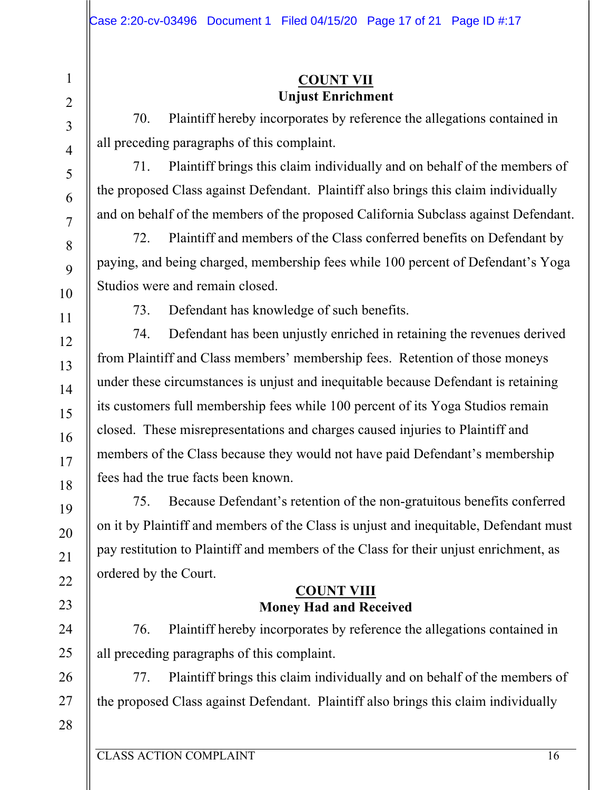### **COUNT VII Unjust Enrichment**

70. Plaintiff hereby incorporates by reference the allegations contained in all preceding paragraphs of this complaint.

71. Plaintiff brings this claim individually and on behalf of the members of the proposed Class against Defendant. Plaintiff also brings this claim individually and on behalf of the members of the proposed California Subclass against Defendant.

72. Plaintiff and members of the Class conferred benefits on Defendant by paying, and being charged, membership fees while 100 percent of Defendant's Yoga Studios were and remain closed.

73. Defendant has knowledge of such benefits.

74. Defendant has been unjustly enriched in retaining the revenues derived from Plaintiff and Class members' membership fees. Retention of those moneys under these circumstances is unjust and inequitable because Defendant is retaining its customers full membership fees while 100 percent of its Yoga Studios remain closed. These misrepresentations and charges caused injuries to Plaintiff and members of the Class because they would not have paid Defendant's membership fees had the true facts been known.

75. Because Defendant's retention of the non-gratuitous benefits conferred on it by Plaintiff and members of the Class is unjust and inequitable, Defendant must pay restitution to Plaintiff and members of the Class for their unjust enrichment, as ordered by the Court.

### **COUNT VIII Money Had and Received**

76. Plaintiff hereby incorporates by reference the allegations contained in all preceding paragraphs of this complaint.

77. Plaintiff brings this claim individually and on behalf of the members of the proposed Class against Defendant. Plaintiff also brings this claim individually

1

2

3

4

5

6

7

8

9

10

11

12

13

14

15

16

17

18

19

20

21

22

23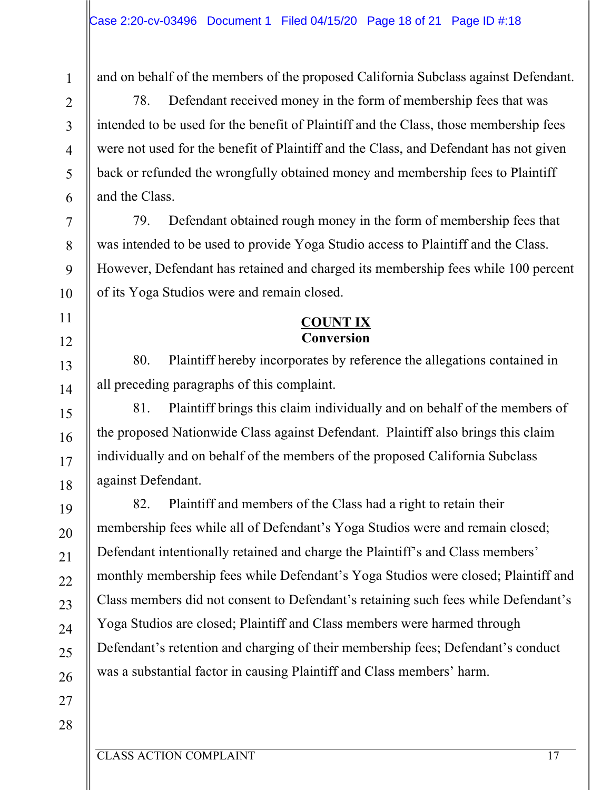1

2

3

4

5

6

7

8

9

10

11

12

13

14

15

16

17

18

19

20

21

22

23

24

25

26

and on behalf of the members of the proposed California Subclass against Defendant.

78. Defendant received money in the form of membership fees that was intended to be used for the benefit of Plaintiff and the Class, those membership fees were not used for the benefit of Plaintiff and the Class, and Defendant has not given back or refunded the wrongfully obtained money and membership fees to Plaintiff and the Class.

79. Defendant obtained rough money in the form of membership fees that was intended to be used to provide Yoga Studio access to Plaintiff and the Class. However, Defendant has retained and charged its membership fees while 100 percent of its Yoga Studios were and remain closed.

## **COUNT IX Conversion**

80. Plaintiff hereby incorporates by reference the allegations contained in all preceding paragraphs of this complaint.

81. Plaintiff brings this claim individually and on behalf of the members of the proposed Nationwide Class against Defendant. Plaintiff also brings this claim individually and on behalf of the members of the proposed California Subclass against Defendant.

82. Plaintiff and members of the Class had a right to retain their membership fees while all of Defendant's Yoga Studios were and remain closed; Defendant intentionally retained and charge the Plaintiff's and Class members' monthly membership fees while Defendant's Yoga Studios were closed; Plaintiff and Class members did not consent to Defendant's retaining such fees while Defendant's Yoga Studios are closed; Plaintiff and Class members were harmed through Defendant's retention and charging of their membership fees; Defendant's conduct was a substantial factor in causing Plaintiff and Class members' harm.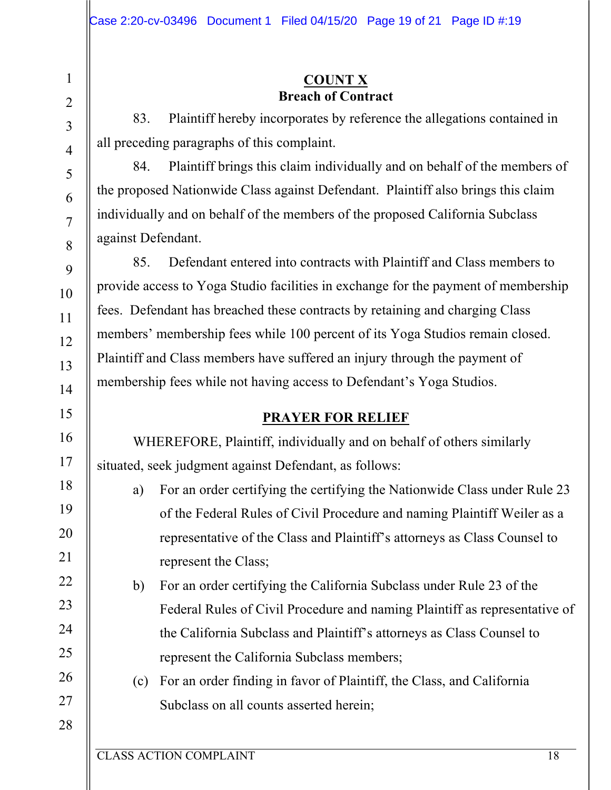#### **COUNT X Breach of Contract**

83. Plaintiff hereby incorporates by reference the allegations contained in all preceding paragraphs of this complaint.

84. Plaintiff brings this claim individually and on behalf of the members of the proposed Nationwide Class against Defendant. Plaintiff also brings this claim individually and on behalf of the members of the proposed California Subclass against Defendant.

85. Defendant entered into contracts with Plaintiff and Class members to provide access to Yoga Studio facilities in exchange for the payment of membership fees. Defendant has breached these contracts by retaining and charging Class members' membership fees while 100 percent of its Yoga Studios remain closed. Plaintiff and Class members have suffered an injury through the payment of membership fees while not having access to Defendant's Yoga Studios.

## **PRAYER FOR RELIEF**

WHEREFORE, Plaintiff, individually and on behalf of others similarly situated, seek judgment against Defendant, as follows:

- a) For an order certifying the certifying the Nationwide Class under Rule 23 of the Federal Rules of Civil Procedure and naming Plaintiff Weiler as a representative of the Class and Plaintiff's attorneys as Class Counsel to represent the Class;
- b) For an order certifying the California Subclass under Rule 23 of the Federal Rules of Civil Procedure and naming Plaintiff as representative of the California Subclass and Plaintiff's attorneys as Class Counsel to represent the California Subclass members;
- (c) For an order finding in favor of Plaintiff, the Class, and California Subclass on all counts asserted herein;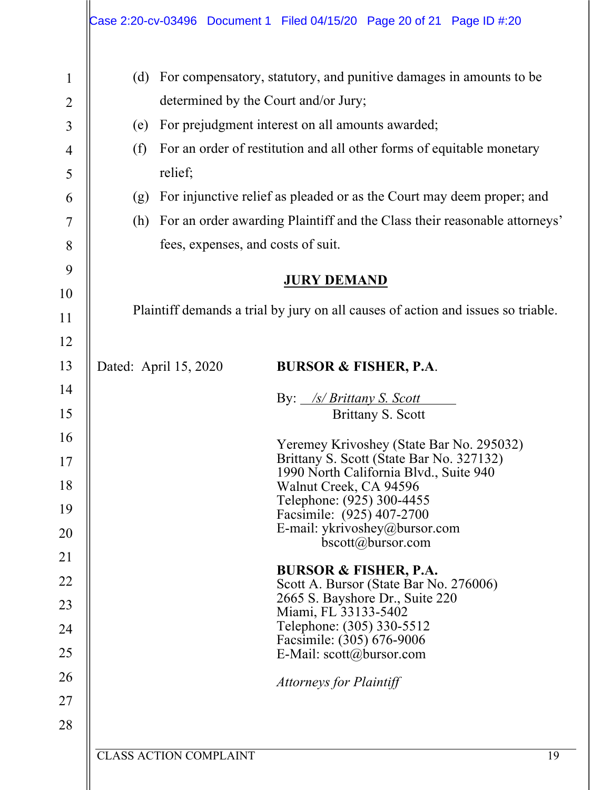|                                | Case 2:20-cv-03496 Document 1 Filed 04/15/20 Page 20 of 21 Page ID #:20                                           |  |  |  |  |  |
|--------------------------------|-------------------------------------------------------------------------------------------------------------------|--|--|--|--|--|
| $\mathbf{1}$<br>$\overline{c}$ | For compensatory, statutory, and punitive damages in amounts to be<br>(d)<br>determined by the Court and/or Jury; |  |  |  |  |  |
| $\overline{3}$                 | For prejudgment interest on all amounts awarded;<br>(e)                                                           |  |  |  |  |  |
| $\overline{4}$<br>5            | For an order of restitution and all other forms of equitable monetary<br>(f)<br>relief;                           |  |  |  |  |  |
| 6                              | For injunctive relief as pleaded or as the Court may deem proper; and<br>(g)                                      |  |  |  |  |  |
| 7                              | For an order awarding Plaintiff and the Class their reasonable attorneys'<br>(h)                                  |  |  |  |  |  |
| 8                              | fees, expenses, and costs of suit.                                                                                |  |  |  |  |  |
| 9                              |                                                                                                                   |  |  |  |  |  |
| 10                             | <b>JURY DEMAND</b>                                                                                                |  |  |  |  |  |
| 11                             | Plaintiff demands a trial by jury on all causes of action and issues so triable.                                  |  |  |  |  |  |
| 12                             |                                                                                                                   |  |  |  |  |  |
| 13                             | Dated: April 15, 2020<br><b>BURSOR &amp; FISHER, P.A.</b>                                                         |  |  |  |  |  |
| 14                             | By: <i>/s/ Brittany S. Scott</i>                                                                                  |  |  |  |  |  |
| 15                             | Brittany S. Scott                                                                                                 |  |  |  |  |  |
| 16                             | Yeremey Krivoshey (State Bar No. 295032)                                                                          |  |  |  |  |  |
| 17                             | Brittany S. Scott (State Bar No. 327132)                                                                          |  |  |  |  |  |
| 18                             | 1990 North California Blvd., Suite 940<br>Walnut Creek, CA 94596                                                  |  |  |  |  |  |
| 19                             | Telephone: (925) 300-4455<br>Facsimile: (925) 407-2700                                                            |  |  |  |  |  |
| 20                             | E-mail: ykrivoshey@bursor.com                                                                                     |  |  |  |  |  |
| 21                             | $bscott(a)$ bursor.com                                                                                            |  |  |  |  |  |
| 22                             | <b>BURSOR &amp; FISHER, P.A.</b>                                                                                  |  |  |  |  |  |
| 23                             | Scott A. Bursor (State Bar No. 276006)<br>2665 S. Bayshore Dr., Suite 220                                         |  |  |  |  |  |
| 24                             | Miami, FL 33133-5402<br>Telephone: (305) 330-5512                                                                 |  |  |  |  |  |
|                                | Facsimile: (305) 676-9006                                                                                         |  |  |  |  |  |
| 25                             | E-Mail: $scott(\omega)$ bursor.com                                                                                |  |  |  |  |  |
| 26                             | <b>Attorneys for Plaintiff</b>                                                                                    |  |  |  |  |  |
| 27                             |                                                                                                                   |  |  |  |  |  |
| 28                             |                                                                                                                   |  |  |  |  |  |
|                                | <b>CLASS ACTION COMPLAINT</b><br>19                                                                               |  |  |  |  |  |